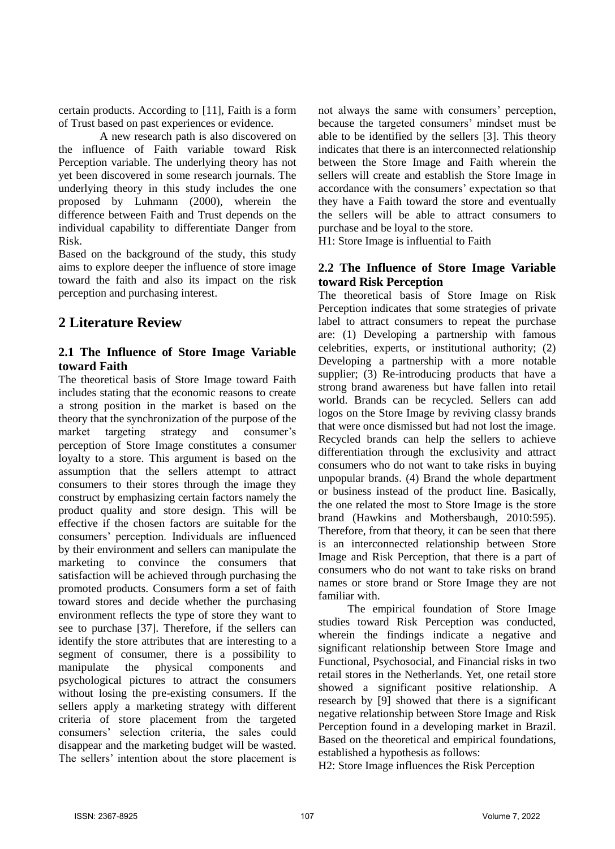certain products. According to [11], Faith is a form of Trust based on past experiences or evidence.

A new research path is also discovered on the influence of Faith variable toward Risk Perception variable. The underlying theory has not yet been discovered in some research journals. The underlying theory in this study includes the one proposed by Luhmann (2000), wherein the difference between Faith and Trust depends on the individual capability to differentiate Danger from Risk.

Based on the background of the study, this study aims to explore deeper the influence of store image toward the faith and also its impact on the risk perception and purchasing interest.

# **2 Literature Review**

### **2.1 The Influence of Store Image Variable toward Faith**

The theoretical basis of Store Image toward Faith includes stating that the economic reasons to create a strong position in the market is based on the theory that the synchronization of the purpose of the market targeting strategy and consumer's perception of Store Image constitutes a consumer loyalty to a store. This argument is based on the assumption that the sellers attempt to attract consumers to their stores through the image they construct by emphasizing certain factors namely the product quality and store design. This will be effective if the chosen factors are suitable for the consumers' perception. Individuals are influenced by their environment and sellers can manipulate the marketing to convince the consumers that satisfaction will be achieved through purchasing the promoted products. Consumers form a set of faith toward stores and decide whether the purchasing environment reflects the type of store they want to see to purchase [37]. Therefore, if the sellers can identify the store attributes that are interesting to a segment of consumer, there is a possibility to manipulate the physical components and psychological pictures to attract the consumers without losing the pre-existing consumers. If the sellers apply a marketing strategy with different criteria of store placement from the targeted consumers' selection criteria, the sales could disappear and the marketing budget will be wasted. The sellers' intention about the store placement is

not always the same with consumers' perception, because the targeted consumers' mindset must be able to be identified by the sellers [3]. This theory indicates that there is an interconnected relationship between the Store Image and Faith wherein the sellers will create and establish the Store Image in accordance with the consumers' expectation so that they have a Faith toward the store and eventually the sellers will be able to attract consumers to purchase and be loyal to the store.

H1: Store Image is influential to Faith

#### **2.2 The Influence of Store Image Variable toward Risk Perception**

The theoretical basis of Store Image on Risk Perception indicates that some strategies of private label to attract consumers to repeat the purchase are: (1) Developing a partnership with famous celebrities, experts, or institutional authority; (2) Developing a partnership with a more notable supplier; (3) Re-introducing products that have a strong brand awareness but have fallen into retail world. Brands can be recycled. Sellers can add logos on the Store Image by reviving classy brands that were once dismissed but had not lost the image. Recycled brands can help the sellers to achieve differentiation through the exclusivity and attract consumers who do not want to take risks in buying unpopular brands. (4) Brand the whole department or business instead of the product line. Basically, the one related the most to Store Image is the store brand (Hawkins and Mothersbaugh, 2010:595). Therefore, from that theory, it can be seen that there is an interconnected relationship between Store Image and Risk Perception, that there is a part of consumers who do not want to take risks on brand names or store brand or Store Image they are not familiar with.

The empirical foundation of Store Image studies toward Risk Perception was conducted, wherein the findings indicate a negative and significant relationship between Store Image and Functional, Psychosocial, and Financial risks in two retail stores in the Netherlands. Yet, one retail store showed a significant positive relationship. A research by [9] showed that there is a significant negative relationship between Store Image and Risk Perception found in a developing market in Brazil. Based on the theoretical and empirical foundations, established a hypothesis as follows:

H2: Store Image influences the Risk Perception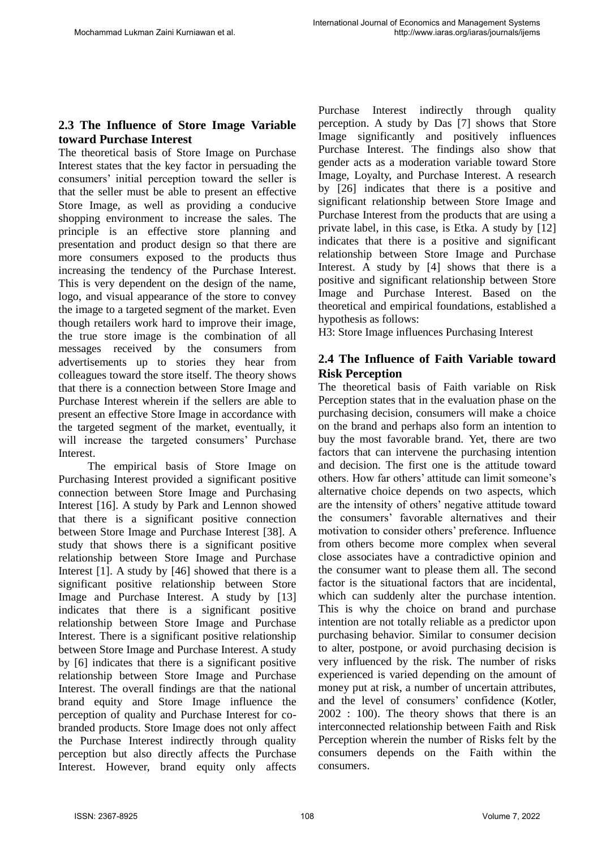## **2.3 The Influence of Store Image Variable toward Purchase Interest**

The theoretical basis of Store Image on Purchase Interest states that the key factor in persuading the consumers' initial perception toward the seller is that the seller must be able to present an effective Store Image, as well as providing a conducive shopping environment to increase the sales. The principle is an effective store planning and presentation and product design so that there are more consumers exposed to the products thus increasing the tendency of the Purchase Interest. This is very dependent on the design of the name, logo, and visual appearance of the store to convey the image to a targeted segment of the market. Even though retailers work hard to improve their image, the true store image is the combination of all messages received by the consumers from advertisements up to stories they hear from colleagues toward the store itself. The theory shows that there is a connection between Store Image and Purchase Interest wherein if the sellers are able to present an effective Store Image in accordance with the targeted segment of the market, eventually, it will increase the targeted consumers' Purchase Interest.

The empirical basis of Store Image on Purchasing Interest provided a significant positive connection between Store Image and Purchasing Interest [16]. A study by Park and Lennon showed that there is a significant positive connection between Store Image and Purchase Interest [38]. A study that shows there is a significant positive relationship between Store Image and Purchase Interest [1]. A study by [46] showed that there is a significant positive relationship between Store Image and Purchase Interest. A study by [13] indicates that there is a significant positive relationship between Store Image and Purchase Interest. There is a significant positive relationship between Store Image and Purchase Interest. A study by [6] indicates that there is a significant positive relationship between Store Image and Purchase Interest. The overall findings are that the national brand equity and Store Image influence the perception of quality and Purchase Interest for cobranded products. Store Image does not only affect the Purchase Interest indirectly through quality perception but also directly affects the Purchase Interest. However, brand equity only affects

Purchase Interest indirectly through quality perception. A study by Das [7] shows that Store Image significantly and positively influences Purchase Interest. The findings also show that gender acts as a moderation variable toward Store Image, Loyalty, and Purchase Interest. A research by [26] indicates that there is a positive and significant relationship between Store Image and Purchase Interest from the products that are using a private label, in this case, is Etka. A study by [12] indicates that there is a positive and significant relationship between Store Image and Purchase Interest. A study by [4] shows that there is a positive and significant relationship between Store Image and Purchase Interest. Based on the theoretical and empirical foundations, established a hypothesis as follows:

H3: Store Image influences Purchasing Interest

## **2.4 The Influence of Faith Variable toward Risk Perception**

The theoretical basis of Faith variable on Risk Perception states that in the evaluation phase on the purchasing decision, consumers will make a choice on the brand and perhaps also form an intention to buy the most favorable brand. Yet, there are two factors that can intervene the purchasing intention and decision. The first one is the attitude toward others. How far others' attitude can limit someone's alternative choice depends on two aspects, which are the intensity of others' negative attitude toward the consumers' favorable alternatives and their motivation to consider others' preference. Influence from others become more complex when several close associates have a contradictive opinion and the consumer want to please them all. The second factor is the situational factors that are incidental, which can suddenly alter the purchase intention. This is why the choice on brand and purchase intention are not totally reliable as a predictor upon purchasing behavior. Similar to consumer decision to alter, postpone, or avoid purchasing decision is very influenced by the risk. The number of risks experienced is varied depending on the amount of money put at risk, a number of uncertain attributes, and the level of consumers' confidence (Kotler, 2002 : 100). The theory shows that there is an interconnected relationship between Faith and Risk Perception wherein the number of Risks felt by the consumers depends on the Faith within the consumers.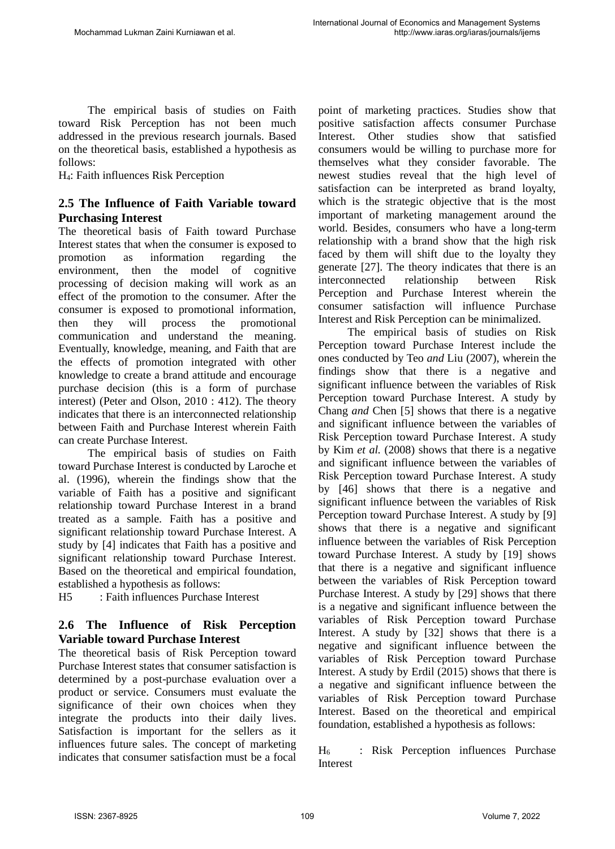The empirical basis of studies on Faith toward Risk Perception has not been much addressed in the previous research journals. Based on the theoretical basis, established a hypothesis as follows:

H4: Faith influences Risk Perception

### **2.5 The Influence of Faith Variable toward Purchasing Interest**

The theoretical basis of Faith toward Purchase Interest states that when the consumer is exposed to promotion as information regarding the environment, then the model of cognitive processing of decision making will work as an effect of the promotion to the consumer. After the consumer is exposed to promotional information, then they will process the promotional communication and understand the meaning. Eventually, knowledge, meaning, and Faith that are the effects of promotion integrated with other knowledge to create a brand attitude and encourage purchase decision (this is a form of purchase interest) (Peter and Olson, 2010 : 412). The theory indicates that there is an interconnected relationship between Faith and Purchase Interest wherein Faith can create Purchase Interest.

The empirical basis of studies on Faith toward Purchase Interest is conducted by Laroche et al. (1996), wherein the findings show that the variable of Faith has a positive and significant relationship toward Purchase Interest in a brand treated as a sample. Faith has a positive and significant relationship toward Purchase Interest. A study by [4] indicates that Faith has a positive and significant relationship toward Purchase Interest. Based on the theoretical and empirical foundation, established a hypothesis as follows:

H5 : Faith influences Purchase Interest

## **2.6 The Influence of Risk Perception Variable toward Purchase Interest**

The theoretical basis of Risk Perception toward Purchase Interest states that consumer satisfaction is determined by a post-purchase evaluation over a product or service. Consumers must evaluate the significance of their own choices when they integrate the products into their daily lives. Satisfaction is important for the sellers as it influences future sales. The concept of marketing indicates that consumer satisfaction must be a focal

point of marketing practices. Studies show that positive satisfaction affects consumer Purchase Interest. Other studies show that satisfied consumers would be willing to purchase more for themselves what they consider favorable. The newest studies reveal that the high level of satisfaction can be interpreted as brand loyalty, which is the strategic objective that is the most important of marketing management around the world. Besides, consumers who have a long-term relationship with a brand show that the high risk faced by them will shift due to the loyalty they generate [27]. The theory indicates that there is an interconnected relationship between Risk Perception and Purchase Interest wherein the consumer satisfaction will influence Purchase Interest and Risk Perception can be minimalized.

The empirical basis of studies on Risk Perception toward Purchase Interest include the ones conducted by Teo *and* Liu (2007), wherein the findings show that there is a negative and significant influence between the variables of Risk Perception toward Purchase Interest. A study by Chang *and* Chen [5] shows that there is a negative and significant influence between the variables of Risk Perception toward Purchase Interest. A study by Kim *et al.* (2008) shows that there is a negative and significant influence between the variables of Risk Perception toward Purchase Interest. A study by [46] shows that there is a negative and significant influence between the variables of Risk Perception toward Purchase Interest. A study by [9] shows that there is a negative and significant influence between the variables of Risk Perception toward Purchase Interest. A study by [19] shows that there is a negative and significant influence between the variables of Risk Perception toward Purchase Interest. A study by [29] shows that there is a negative and significant influence between the variables of Risk Perception toward Purchase Interest. A study by [32] shows that there is a negative and significant influence between the variables of Risk Perception toward Purchase Interest. A study by Erdil (2015) shows that there is a negative and significant influence between the variables of Risk Perception toward Purchase Interest. Based on the theoretical and empirical foundation, established a hypothesis as follows:

H<sup>6</sup> : Risk Perception influences Purchase Interest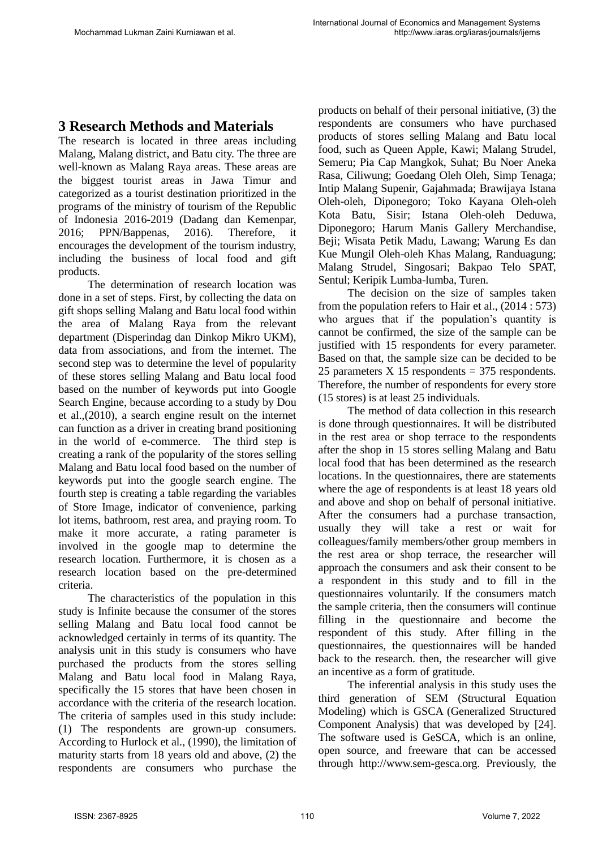## **3 Research Methods and Materials**

The research is located in three areas including Malang, Malang district, and Batu city. The three are well-known as Malang Raya areas. These areas are the biggest tourist areas in Jawa Timur and categorized as a tourist destination prioritized in the programs of the ministry of tourism of the Republic of Indonesia 2016-2019 (Dadang dan Kemenpar, 2016; PPN/Bappenas, 2016). Therefore, it encourages the development of the tourism industry, including the business of local food and gift products.

The determination of research location was done in a set of steps. First, by collecting the data on gift shops selling Malang and Batu local food within the area of Malang Raya from the relevant department (Disperindag dan Dinkop Mikro UKM), data from associations, and from the internet. The second step was to determine the level of popularity of these stores selling Malang and Batu local food based on the number of keywords put into Google Search Engine, because according to a study by Dou et al.,(2010), a search engine result on the internet can function as a driver in creating brand positioning in the world of e-commerce. The third step is creating a rank of the popularity of the stores selling Malang and Batu local food based on the number of keywords put into the google search engine. The fourth step is creating a table regarding the variables of Store Image, indicator of convenience, parking lot items, bathroom, rest area, and praying room. To make it more accurate, a rating parameter is involved in the google map to determine the research location. Furthermore, it is chosen as a research location based on the pre-determined criteria.

The characteristics of the population in this study is Infinite because the consumer of the stores selling Malang and Batu local food cannot be acknowledged certainly in terms of its quantity. The analysis unit in this study is consumers who have purchased the products from the stores selling Malang and Batu local food in Malang Raya, specifically the 15 stores that have been chosen in accordance with the criteria of the research location. The criteria of samples used in this study include: (1) The respondents are grown-up consumers. According to Hurlock et al., (1990), the limitation of maturity starts from 18 years old and above, (2) the respondents are consumers who purchase the

products on behalf of their personal initiative, (3) the respondents are consumers who have purchased products of stores selling Malang and Batu local food, such as Queen Apple, Kawi; Malang Strudel, Semeru; Pia Cap Mangkok, Suhat; Bu Noer Aneka Rasa, Ciliwung; Goedang Oleh Oleh, Simp Tenaga; Intip Malang Supenir, Gajahmada; Brawijaya Istana Oleh-oleh, Diponegoro; Toko Kayana Oleh-oleh Kota Batu, Sisir; Istana Oleh-oleh Deduwa, Diponegoro; Harum Manis Gallery Merchandise, Beji; Wisata Petik Madu, Lawang; Warung Es dan Kue Mungil Oleh-oleh Khas Malang, Randuagung; Malang Strudel, Singosari; Bakpao Telo SPAT, Sentul; Keripik Lumba-lumba, Turen.

The decision on the size of samples taken from the population refers to Hair et al., (2014 : 573) who argues that if the population's quantity is cannot be confirmed, the size of the sample can be justified with 15 respondents for every parameter. Based on that, the sample size can be decided to be 25 parameters  $X$  15 respondents = 375 respondents. Therefore, the number of respondents for every store (15 stores) is at least 25 individuals.

The method of data collection in this research is done through questionnaires. It will be distributed in the rest area or shop terrace to the respondents after the shop in 15 stores selling Malang and Batu local food that has been determined as the research locations. In the questionnaires, there are statements where the age of respondents is at least 18 years old and above and shop on behalf of personal initiative. After the consumers had a purchase transaction, usually they will take a rest or wait for colleagues/family members/other group members in the rest area or shop terrace, the researcher will approach the consumers and ask their consent to be a respondent in this study and to fill in the questionnaires voluntarily. If the consumers match the sample criteria, then the consumers will continue filling in the questionnaire and become the respondent of this study. After filling in the questionnaires, the questionnaires will be handed back to the research. then, the researcher will give an incentive as a form of gratitude.

The inferential analysis in this study uses the third generation of SEM (Structural Equation Modeling) which is GSCA (Generalized Structured Component Analysis) that was developed by [24]. The software used is GeSCA, which is an online, open source, and freeware that can be accessed through http://www.sem-gesca.org. Previously, the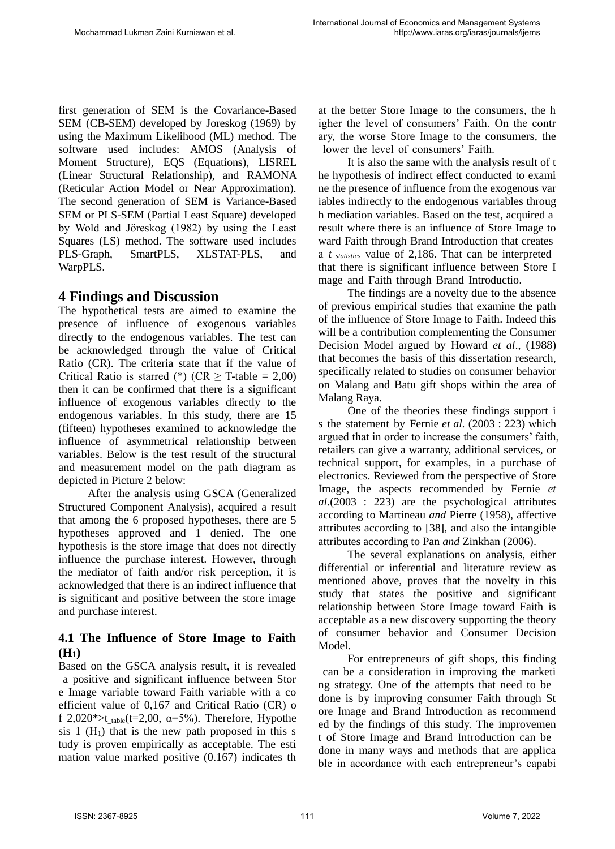first generation of SEM is the Covariance-Based SEM (CB-SEM) developed by Joreskog (1969) by using the Maximum Likelihood (ML) method. The software used includes: AMOS (Analysis of Moment Structure), EQS (Equations), LISREL (Linear Structural Relationship), and RAMONA (Reticular Action Model or Near Approximation). The second generation of SEM is Variance-Based SEM or PLS-SEM (Partial Least Square) developed by Wold and Jöreskog (1982) by using the Least Squares (LS) method. The software used includes PLS-Graph, SmartPLS, XLSTAT-PLS, and WarpPLS.

# **4 Findings and Discussion**

The hypothetical tests are aimed to examine the presence of influence of exogenous variables directly to the endogenous variables. The test can be acknowledged through the value of Critical Ratio (CR). The criteria state that if the value of Critical Ratio is starred (\*) ( $CR \geq T$ -table = 2,00) then it can be confirmed that there is a significant influence of exogenous variables directly to the endogenous variables. In this study, there are 15 (fifteen) hypotheses examined to acknowledge the influence of asymmetrical relationship between variables. Below is the test result of the structural and measurement model on the path diagram as depicted in Picture 2 below:

After the analysis using GSCA (Generalized Structured Component Analysis), acquired a result that among the 6 proposed hypotheses, there are 5 hypotheses approved and 1 denied. The one hypothesis is the store image that does not directly influence the purchase interest. However, through the mediator of faith and/or risk perception, it is acknowledged that there is an indirect influence that is significant and positive between the store image and purchase interest.

## **4.1 The Influence of Store Image to Faith (H1)**

Based on the GSCA analysis result, it is revealed a positive and significant influence between Stor e Image variable toward Faith variable with a co efficient value of 0,167 and Critical Ratio (CR) o f 2,020\*>t table(t=2,00,  $\alpha$ =5%). Therefore, Hypothe sis  $1$  (H<sub>1</sub>) that is the new path proposed in this s tudy is proven empirically as acceptable. The esti mation value marked positive (0.167) indicates th at the better Store Image to the consumers, the h igher the level of consumers' Faith. On the contr ary, the worse Store Image to the consumers, the lower the level of consumers' Faith.

It is also the same with the analysis result of t he hypothesis of indirect effect conducted to exami ne the presence of influence from the exogenous var iables indirectly to the endogenous variables throug h mediation variables. Based on the test, acquired a result where there is an influence of Store Image to ward Faith through Brand Introduction that creates a *t\_statistics* value of 2,186. That can be interpreted that there is significant influence between Store I mage and Faith through Brand Introductio.

The findings are a novelty due to the absence of previous empirical studies that examine the path of the influence of Store Image to Faith. Indeed this will be a contribution complementing the Consumer Decision Model argued by Howard *et al*., (1988) that becomes the basis of this dissertation research, specifically related to studies on consumer behavior on Malang and Batu gift shops within the area of Malang Raya.

One of the theories these findings support i s the statement by Fernie *et al.* (2003 : 223) which argued that in order to increase the consumers' faith, retailers can give a warranty, additional services, or technical support, for examples, in a purchase of electronics. Reviewed from the perspective of Store Image, the aspects recommended by Fernie *et al.*(2003 : 223) are the psychological attributes according to Martineau *and* Pierre (1958), affective attributes according to [38], and also the intangible attributes according to Pan *and* Zinkhan (2006).

The several explanations on analysis, either differential or inferential and literature review as mentioned above, proves that the novelty in this study that states the positive and significant relationship between Store Image toward Faith is acceptable as a new discovery supporting the theory of consumer behavior and Consumer Decision Model.

For entrepreneurs of gift shops, this finding can be a consideration in improving the marketi ng strategy. One of the attempts that need to be done is by improving consumer Faith through St ore Image and Brand Introduction as recommend ed by the findings of this study. The improvemen t of Store Image and Brand Introduction can be done in many ways and methods that are applica ble in accordance with each entrepreneur's capabi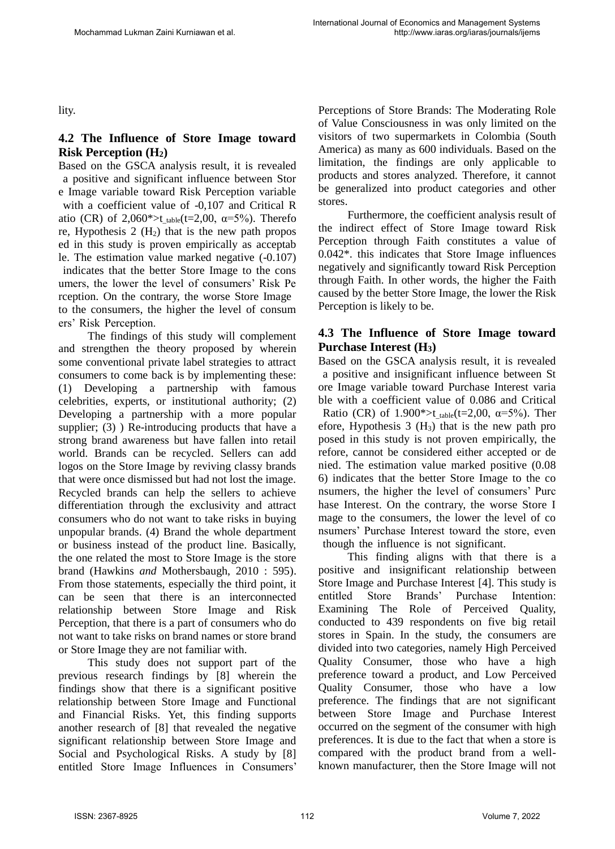lity.

## **4.2 The Influence of Store Image toward Risk Perception (H2)**

Based on the GSCA analysis result, it is revealed a positive and significant influence between Stor e Image variable toward Risk Perception variable with a coefficient value of -0,107 and Critical R atio (CR) of 2,060\*>t  $_{table}(t=2,00, \alpha=5\%)$ . Therefo re, Hypothesis  $2(H_2)$  that is the new path propos ed in this study is proven empirically as acceptab le. The estimation value marked negative (-0.107) indicates that the better Store Image to the cons umers, the lower the level of consumers' Risk Pe rception. On the contrary, the worse Store Image to the consumers, the higher the level of consum ers' Risk Perception.

The findings of this study will complement and strengthen the theory proposed by wherein some conventional private label strategies to attract consumers to come back is by implementing these: (1) Developing a partnership with famous celebrities, experts, or institutional authority; (2) Developing a partnership with a more popular supplier; (3) ) Re-introducing products that have a strong brand awareness but have fallen into retail world. Brands can be recycled. Sellers can add logos on the Store Image by reviving classy brands that were once dismissed but had not lost the image. Recycled brands can help the sellers to achieve differentiation through the exclusivity and attract consumers who do not want to take risks in buying unpopular brands. (4) Brand the whole department or business instead of the product line. Basically, the one related the most to Store Image is the store brand (Hawkins *and* Mothersbaugh, 2010 : 595). From those statements, especially the third point, it can be seen that there is an interconnected relationship between Store Image and Risk Perception, that there is a part of consumers who do not want to take risks on brand names or store brand or Store Image they are not familiar with.

This study does not support part of the previous research findings by [8] wherein the findings show that there is a significant positive relationship between Store Image and Functional and Financial Risks. Yet, this finding supports another research of [8] that revealed the negative significant relationship between Store Image and Social and Psychological Risks. A study by [8] entitled Store Image Influences in Consumers'

Perceptions of Store Brands: The Moderating Role of Value Consciousness in was only limited on the visitors of two supermarkets in Colombia (South America) as many as 600 individuals. Based on the limitation, the findings are only applicable to products and stores analyzed. Therefore, it cannot be generalized into product categories and other stores.

Furthermore, the coefficient analysis result of the indirect effect of Store Image toward Risk Perception through Faith constitutes a value of 0.042\*. this indicates that Store Image influences negatively and significantly toward Risk Perception through Faith. In other words, the higher the Faith caused by the better Store Image, the lower the Risk Perception is likely to be.

#### **4.3 The Influence of Store Image toward Purchase Interest (H3)**

Based on the GSCA analysis result, it is revealed a positive and insignificant influence between St ore Image variable toward Purchase Interest varia ble with a coefficient value of 0.086 and Critical Ratio (CR) of 1.900\*>t\_table(t=2,00,  $\alpha$ =5%). Then efore, Hypothesis  $3(H_3)$  that is the new path pro posed in this study is not proven empirically, the refore, cannot be considered either accepted or de nied. The estimation value marked positive (0.08 6) indicates that the better Store Image to the co nsumers, the higher the level of consumers' Purc hase Interest. On the contrary, the worse Store I mage to the consumers, the lower the level of co nsumers' Purchase Interest toward the store, even though the influence is not significant.

This finding aligns with that there is a positive and insignificant relationship between Store Image and Purchase Interest [4]. This study is entitled Store Brands' Purchase Intention: Examining The Role of Perceived Quality, conducted to 439 respondents on five big retail stores in Spain. In the study, the consumers are divided into two categories, namely High Perceived Quality Consumer, those who have a high preference toward a product, and Low Perceived Quality Consumer, those who have a low preference. The findings that are not significant between Store Image and Purchase Interest occurred on the segment of the consumer with high preferences. It is due to the fact that when a store is compared with the product brand from a wellknown manufacturer, then the Store Image will not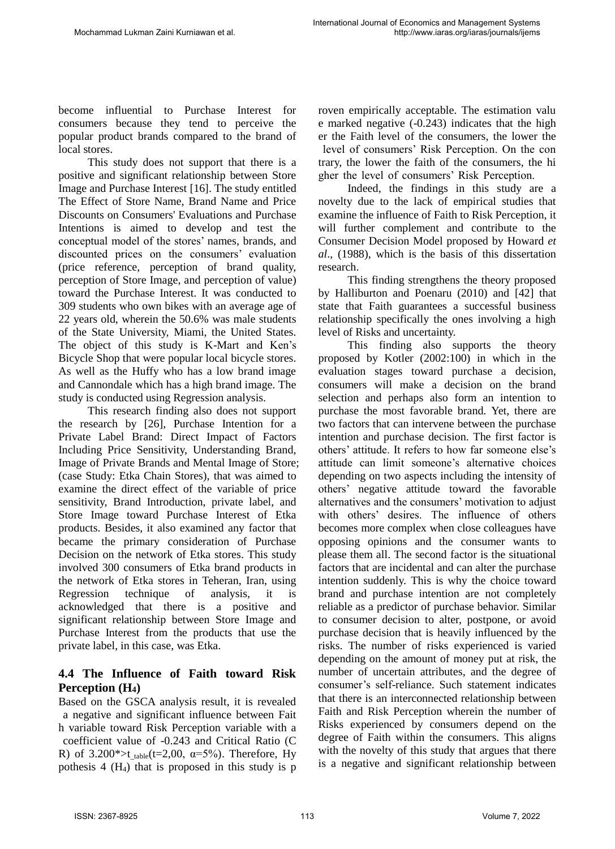become influential to Purchase Interest for consumers because they tend to perceive the popular product brands compared to the brand of local stores.

This study does not support that there is a positive and significant relationship between Store Image and Purchase Interest [16]. The study entitled The Effect of Store Name, Brand Name and Price Discounts on Consumers' Evaluations and Purchase Intentions is aimed to develop and test the conceptual model of the stores' names, brands, and discounted prices on the consumers' evaluation (price reference, perception of brand quality, perception of Store Image, and perception of value) toward the Purchase Interest. It was conducted to 309 students who own bikes with an average age of 22 years old, wherein the 50.6% was male students of the State University, Miami, the United States. The object of this study is K-Mart and Ken's Bicycle Shop that were popular local bicycle stores. As well as the Huffy who has a low brand image and Cannondale which has a high brand image. The study is conducted using Regression analysis.

This research finding also does not support the research by [26], Purchase Intention for a Private Label Brand: Direct Impact of Factors Including Price Sensitivity, Understanding Brand, Image of Private Brands and Mental Image of Store; (case Study: Etka Chain Stores), that was aimed to examine the direct effect of the variable of price sensitivity, Brand Introduction, private label, and Store Image toward Purchase Interest of Etka products. Besides, it also examined any factor that became the primary consideration of Purchase Decision on the network of Etka stores. This study involved 300 consumers of Etka brand products in the network of Etka stores in Teheran, Iran, using Regression technique of analysis, it is acknowledged that there is a positive and significant relationship between Store Image and Purchase Interest from the products that use the private label, in this case, was Etka.

### **4.4 The Influence of Faith toward Risk Perception (H4)**

Based on the GSCA analysis result, it is revealed a negative and significant influence between Fait h variable toward Risk Perception variable with a coefficient value of -0.243 and Critical Ratio (C R) of 3.200\*>t table(t=2,00,  $\alpha$ =5%). Therefore, Hy pothesis  $4 \text{ (H}_4)$  that is proposed in this study is p

roven empirically acceptable. The estimation valu e marked negative (-0.243) indicates that the high er the Faith level of the consumers, the lower the level of consumers' Risk Perception. On the con trary, the lower the faith of the consumers, the hi gher the level of consumers' Risk Perception.

Indeed, the findings in this study are a novelty due to the lack of empirical studies that examine the influence of Faith to Risk Perception, it will further complement and contribute to the Consumer Decision Model proposed by Howard *et al*., (1988), which is the basis of this dissertation research.

This finding strengthens the theory proposed by Halliburton and Poenaru (2010) and [42] that state that Faith guarantees a successful business relationship specifically the ones involving a high level of Risks and uncertainty.

This finding also supports the theory proposed by Kotler (2002:100) in which in the evaluation stages toward purchase a decision, consumers will make a decision on the brand selection and perhaps also form an intention to purchase the most favorable brand. Yet, there are two factors that can intervene between the purchase intention and purchase decision. The first factor is others' attitude. It refers to how far someone else's attitude can limit someone's alternative choices depending on two aspects including the intensity of others' negative attitude toward the favorable alternatives and the consumers' motivation to adjust with others' desires. The influence of others becomes more complex when close colleagues have opposing opinions and the consumer wants to please them all. The second factor is the situational factors that are incidental and can alter the purchase intention suddenly. This is why the choice toward brand and purchase intention are not completely reliable as a predictor of purchase behavior. Similar to consumer decision to alter, postpone, or avoid purchase decision that is heavily influenced by the risks. The number of risks experienced is varied depending on the amount of money put at risk, the number of uncertain attributes, and the degree of consumer's self-reliance. Such statement indicates that there is an interconnected relationship between Faith and Risk Perception wherein the number of Risks experienced by consumers depend on the degree of Faith within the consumers. This aligns with the novelty of this study that argues that there is a negative and significant relationship between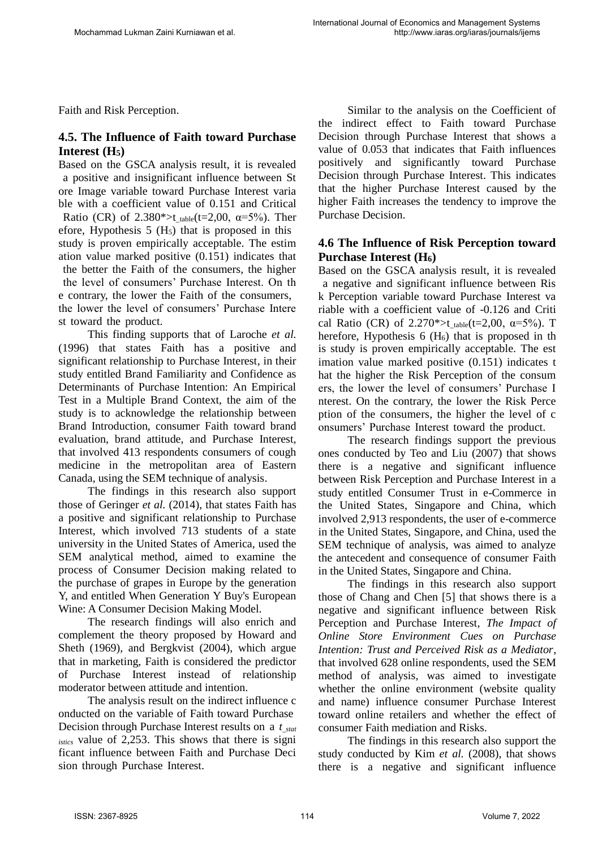Faith and Risk Perception.

## **4.5. The Influence of Faith toward Purchase Interest (H5)**

Based on the GSCA analysis result, it is revealed a positive and insignificant influence between St ore Image variable toward Purchase Interest varia ble with a coefficient value of 0.151 and Critical Ratio (CR) of 2.380\*>t  $_{table}(t=2,00, \alpha=5%$ ). Ther efore, Hypothesis  $5 \text{ (H}_5)$  that is proposed in this study is proven empirically acceptable. The estim ation value marked positive (0.151) indicates that the better the Faith of the consumers, the higher the level of consumers' Purchase Interest. On th e contrary, the lower the Faith of the consumers, the lower the level of consumers' Purchase Intere st toward the product.

This finding supports that of Laroche *et al.* (1996) that states Faith has a positive and significant relationship to Purchase Interest, in their study entitled Brand Familiarity and Confidence as Determinants of Purchase Intention: An Empirical Test in a Multiple Brand Context, the aim of the study is to acknowledge the relationship between Brand Introduction, consumer Faith toward brand evaluation, brand attitude, and Purchase Interest, that involved 413 respondents consumers of cough medicine in the metropolitan area of Eastern Canada, using the SEM technique of analysis.

The findings in this research also support those of Geringer *et al.* (2014), that states Faith has a positive and significant relationship to Purchase Interest, which involved 713 students of a state university in the United States of America, used the SEM analytical method, aimed to examine the process of Consumer Decision making related to the purchase of grapes in Europe by the generation Y, and entitled When Generation Y Buy's European Wine: A Consumer Decision Making Model.

The research findings will also enrich and complement the theory proposed by Howard and Sheth (1969), and Bergkvist (2004), which argue that in marketing, Faith is considered the predictor of Purchase Interest instead of relationship moderator between attitude and intention.

The analysis result on the indirect influence c onducted on the variable of Faith toward Purchase Decision through Purchase Interest results on a *t\_stat istics* value of 2,253. This shows that there is signi ficant influence between Faith and Purchase Deci sion through Purchase Interest.

Similar to the analysis on the Coefficient of the indirect effect to Faith toward Purchase Decision through Purchase Interest that shows a value of 0.053 that indicates that Faith influences positively and significantly toward Purchase Decision through Purchase Interest. This indicates that the higher Purchase Interest caused by the higher Faith increases the tendency to improve the Purchase Decision.

### **4.6 The Influence of Risk Perception toward Purchase Interest (H6)**

Based on the GSCA analysis result, it is revealed a negative and significant influence between Ris k Perception variable toward Purchase Interest va riable with a coefficient value of -0.126 and Criti cal Ratio (CR) of 2.270\*>t table(t=2,00,  $\alpha$ =5%). T herefore, Hypothesis  $6$  (H<sub>6</sub>) that is proposed in the is study is proven empirically acceptable. The est imation value marked positive (0.151) indicates t hat the higher the Risk Perception of the consum ers, the lower the level of consumers' Purchase I nterest. On the contrary, the lower the Risk Perce ption of the consumers, the higher the level of c onsumers' Purchase Interest toward the product.

The research findings support the previous ones conducted by Teo and Liu (2007) that shows there is a negative and significant influence between Risk Perception and Purchase Interest in a study entitled Consumer Trust in e-Commerce in the United States, Singapore and China, which involved 2,913 respondents, the user of e-commerce in the United States, Singapore, and China, used the SEM technique of analysis, was aimed to analyze the antecedent and consequence of consumer Faith in the United States, Singapore and China.

The findings in this research also support those of Chang and Chen [5] that shows there is a negative and significant influence between Risk Perception and Purchase Interest, *The Impact of Online Store Environment Cues on Purchase Intention: Trust and Perceived Risk as a Mediator*, that involved 628 online respondents, used the SEM method of analysis, was aimed to investigate whether the online environment (website quality and name) influence consumer Purchase Interest toward online retailers and whether the effect of consumer Faith mediation and Risks.

The findings in this research also support the study conducted by Kim *et al.* (2008), that shows there is a negative and significant influence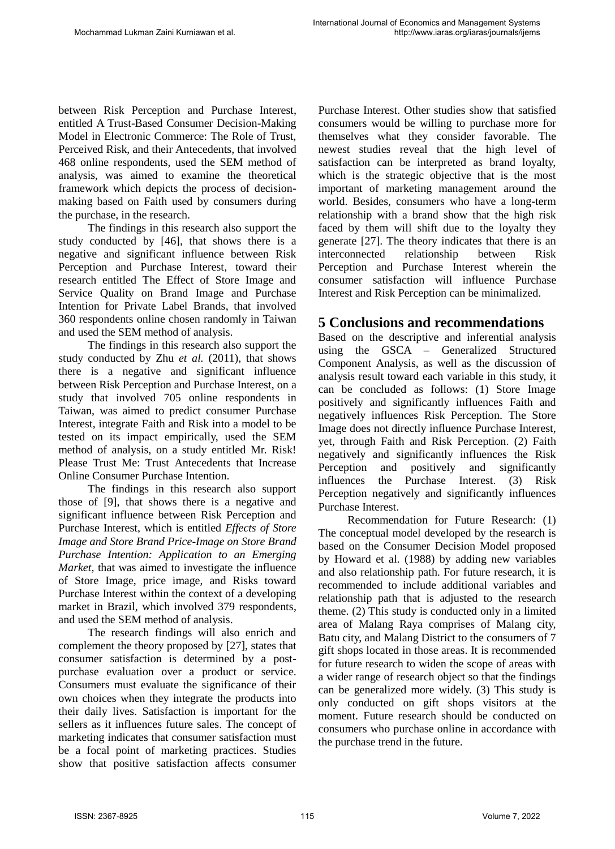between Risk Perception and Purchase Interest, entitled A Trust-Based Consumer Decision-Making Model in Electronic Commerce: The Role of Trust, Perceived Risk, and their Antecedents, that involved 468 online respondents, used the SEM method of analysis, was aimed to examine the theoretical framework which depicts the process of decisionmaking based on Faith used by consumers during the purchase, in the research.

The findings in this research also support the study conducted by [46], that shows there is a negative and significant influence between Risk Perception and Purchase Interest, toward their research entitled The Effect of Store Image and Service Quality on Brand Image and Purchase Intention for Private Label Brands, that involved 360 respondents online chosen randomly in Taiwan and used the SEM method of analysis.

The findings in this research also support the study conducted by Zhu *et al.* (2011), that shows there is a negative and significant influence between Risk Perception and Purchase Interest, on a study that involved 705 online respondents in Taiwan, was aimed to predict consumer Purchase Interest, integrate Faith and Risk into a model to be tested on its impact empirically, used the SEM method of analysis, on a study entitled Mr. Risk! Please Trust Me: Trust Antecedents that Increase Online Consumer Purchase Intention.

The findings in this research also support those of [9], that shows there is a negative and significant influence between Risk Perception and Purchase Interest, which is entitled *Effects of Store Image and Store Brand Price-Image on Store Brand Purchase Intention: Application to an Emerging Market*, that was aimed to investigate the influence of Store Image, price image, and Risks toward Purchase Interest within the context of a developing market in Brazil, which involved 379 respondents, and used the SEM method of analysis.

The research findings will also enrich and complement the theory proposed by [27], states that consumer satisfaction is determined by a postpurchase evaluation over a product or service. Consumers must evaluate the significance of their own choices when they integrate the products into their daily lives. Satisfaction is important for the sellers as it influences future sales. The concept of marketing indicates that consumer satisfaction must be a focal point of marketing practices. Studies show that positive satisfaction affects consumer Purchase Interest. Other studies show that satisfied consumers would be willing to purchase more for themselves what they consider favorable. The newest studies reveal that the high level of satisfaction can be interpreted as brand loyalty, which is the strategic objective that is the most important of marketing management around the world. Besides, consumers who have a long-term relationship with a brand show that the high risk faced by them will shift due to the loyalty they generate [27]. The theory indicates that there is an interconnected relationship between Risk Perception and Purchase Interest wherein the consumer satisfaction will influence Purchase Interest and Risk Perception can be minimalized.

### **5 Conclusions and recommendations**

Based on the descriptive and inferential analysis using the GSCA – Generalized Structured Component Analysis, as well as the discussion of analysis result toward each variable in this study, it can be concluded as follows: (1) Store Image positively and significantly influences Faith and negatively influences Risk Perception. The Store Image does not directly influence Purchase Interest, yet, through Faith and Risk Perception. (2) Faith negatively and significantly influences the Risk Perception and positively and significantly influences the Purchase Interest. (3) Risk Perception negatively and significantly influences Purchase Interest.

Recommendation for Future Research: (1) The conceptual model developed by the research is based on the Consumer Decision Model proposed by Howard et al. (1988) by adding new variables and also relationship path. For future research, it is recommended to include additional variables and relationship path that is adjusted to the research theme. (2) This study is conducted only in a limited area of Malang Raya comprises of Malang city, Batu city, and Malang District to the consumers of 7 gift shops located in those areas. It is recommended for future research to widen the scope of areas with a wider range of research object so that the findings can be generalized more widely. (3) This study is only conducted on gift shops visitors at the moment. Future research should be conducted on consumers who purchase online in accordance with the purchase trend in the future.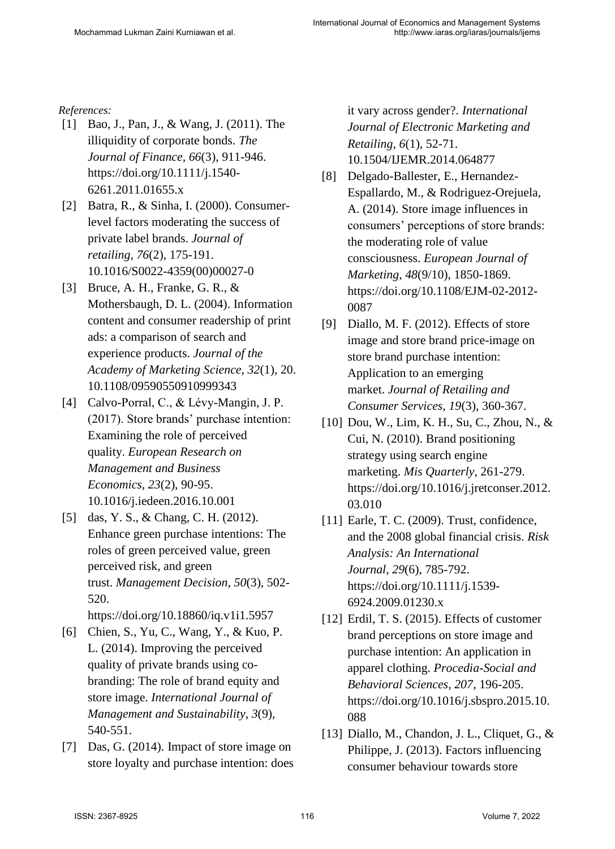#### *References:*

- [1] Bao, J., Pan, J., & Wang, J. (2011). The illiquidity of corporate bonds. *The Journal of Finance*, *66*(3), 911-946. https://doi.org/10.1111/j.1540- 6261.2011.01655.x
- [2] Batra, R., & Sinha, I. (2000). Consumerlevel factors moderating the success of private label brands. *Journal of retailing*, *76*(2), 175-191. 10.1016/S0022-4359(00)00027-0
- [3] Bruce, A. H., Franke, G. R., & Mothersbaugh, D. L. (2004). Information content and consumer readership of print ads: a comparison of search and experience products. *Journal of the Academy of Marketing Science*, *32*(1), 20. 10.1108/09590550910999343
- [4] Calvo-Porral, C., & Lévy-Mangin, J. P. (2017). Store brands' purchase intention: Examining the role of perceived quality. *European Research on Management and Business Economics*, *23*(2), 90-95. 10.1016/j.iedeen.2016.10.001
- [5] das, Y. S., & Chang, C. H. (2012). Enhance green purchase intentions: The roles of green perceived value, green perceived risk, and green trust. *Management Decision*, *50*(3), 502- 520.

https://doi.org/10.18860/iq.v1i1.5957

- [6] Chien, S., Yu, C., Wang, Y., & Kuo, P. L. (2014). Improving the perceived quality of private brands using cobranding: The role of brand equity and store image. *International Journal of Management and Sustainability*, *3*(9), 540-551.
- [7] Das, G. (2014). Impact of store image on store loyalty and purchase intention: does

it vary across gender?. *International Journal of Electronic Marketing and Retailing*, *6*(1), 52-71. 10.1504/IJEMR.2014.064877

- [8] Delgado-Ballester, E., Hernandez-Espallardo, M., & Rodriguez-Orejuela, A. (2014). Store image influences in consumers' perceptions of store brands: the moderating role of value consciousness. *European Journal of Marketing*, *48*(9/10), 1850-1869. https://doi.org/10.1108/EJM-02-2012- 0087
- [9] Diallo, M. F. (2012). Effects of store image and store brand price-image on store brand purchase intention: Application to an emerging market. *Journal of Retailing and Consumer Services*, *19*(3), 360-367.
- [10] Dou, W., Lim, K. H., Su, C., Zhou, N., & Cui, N. (2010). Brand positioning strategy using search engine marketing. *Mis Quarterly*, 261-279. https://doi.org/10.1016/j.jretconser.2012. 03.010
- [11] Earle, T. C. (2009). Trust, confidence, and the 2008 global financial crisis. *Risk Analysis: An International Journal*, *29*(6), 785-792. https://doi.org/10.1111/j.1539- 6924.2009.01230.x
- [12] Erdil, T. S. (2015). Effects of customer brand perceptions on store image and purchase intention: An application in apparel clothing. *Procedia-Social and Behavioral Sciences*, *207*, 196-205. https://doi.org/10.1016/j.sbspro.2015.10. 088
- [13] Diallo, M., Chandon, J. L., Cliquet, G., & Philippe, J. (2013). Factors influencing consumer behaviour towards store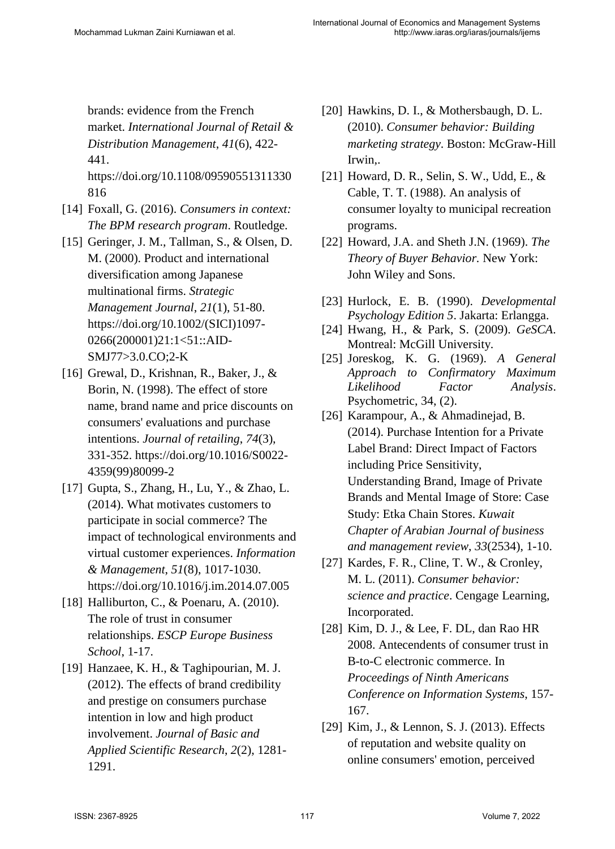brands: evidence from the French market. *International Journal of Retail & Distribution Management*, *41*(6), 422- 441.

https://doi.org/10.1108/09590551311330 816

- [14] Foxall, G. (2016). *Consumers in context: The BPM research program*. Routledge.
- [15] Geringer, J. M., Tallman, S., & Olsen, D. M. (2000). Product and international diversification among Japanese multinational firms. *Strategic Management Journal*, *21*(1), 51-80. https://doi.org/10.1002/(SICI)1097- 0266(200001)21:1<51::AID-SMJ77>3.0.CO;2-K
- [16] Grewal, D., Krishnan, R., Baker, J., & Borin, N. (1998). The effect of store name, brand name and price discounts on consumers' evaluations and purchase intentions. *Journal of retailing*, *74*(3), 331-352. https://doi.org/10.1016/S0022- 4359(99)80099-2
- [17] Gupta, S., Zhang, H., Lu, Y., & Zhao, L. (2014). What motivates customers to participate in social commerce? The impact of technological environments and virtual customer experiences. *Information & Management*, *51*(8), 1017-1030. https://doi.org/10.1016/j.im.2014.07.005
- [18] Halliburton, C., & Poenaru, A. (2010). The role of trust in consumer relationships. *ESCP Europe Business School*, 1-17.
- [19] Hanzaee, K. H., & Taghipourian, M. J. (2012). The effects of brand credibility and prestige on consumers purchase intention in low and high product involvement. *Journal of Basic and Applied Scientific Research*, *2*(2), 1281- 1291.
- [20] Hawkins, D. I., & Mothersbaugh, D. L. (2010). *Consumer behavior: Building marketing strategy*. Boston: McGraw-Hill Irwin,.
- [21] Howard, D. R., Selin, S. W., Udd, E., & Cable, T. T. (1988). An analysis of consumer loyalty to municipal recreation programs.
- [22] Howard, J.A. and Sheth J.N. (1969). *The Theory of Buyer Behavior.* New York: John Wiley and Sons.
- [23] Hurlock, E. B. (1990). *Developmental Psychology Edition 5*. Jakarta: Erlangga.
- [24] Hwang, H., & Park, S. (2009). *GeSCA*. Montreal: McGill University.
- [25] Joreskog, K. G. (1969). *A General Approach to Confirmatory Maximum Likelihood Factor Analysis*. Psychometric, 34, (2).
- [26] Karampour, A., & Ahmadinejad, B. (2014). Purchase Intention for a Private Label Brand: Direct Impact of Factors including Price Sensitivity, Understanding Brand, Image of Private Brands and Mental Image of Store: Case Study: Etka Chain Stores. *Kuwait Chapter of Arabian Journal of business and management review*, *33*(2534), 1-10.
- [27] Kardes, F. R., Cline, T. W., & Cronley, M. L. (2011). *Consumer behavior: science and practice*. Cengage Learning, Incorporated.
- [28] Kim, D. J., & Lee, F. DL, dan Rao HR 2008. Antecendents of consumer trust in B-to-C electronic commerce. In *Proceedings of Ninth Americans Conference on Information Systems*, 157- 167.
- [29] Kim, J., & Lennon, S. J. (2013). Effects of reputation and website quality on online consumers' emotion, perceived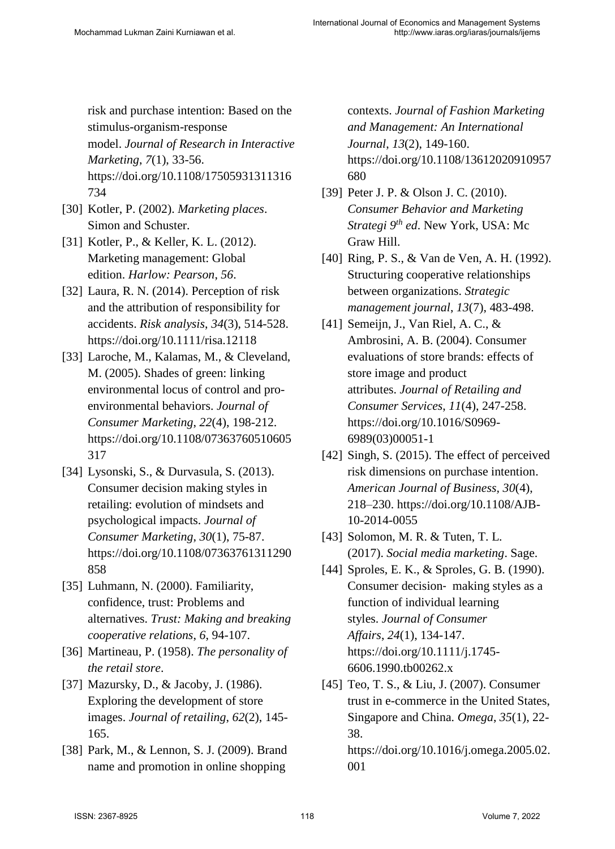risk and purchase intention: Based on the stimulus-organism-response model. *Journal of Research in Interactive Marketing*, *7*(1), 33-56. https://doi.org/10.1108/17505931311316 734

- [30] Kotler, P. (2002). *Marketing places*. Simon and Schuster.
- [31] Kotler, P., & Keller, K. L. (2012). Marketing management: Global edition. *Harlow: Pearson*, *56*.
- [32] Laura, R. N. (2014). Perception of risk and the attribution of responsibility for accidents. *Risk analysis*, *34*(3), 514-528. https://doi.org/10.1111/risa.12118
- [33] Laroche, M., Kalamas, M., & Cleveland, M. (2005). Shades of green: linking environmental locus of control and proenvironmental behaviors. *Journal of Consumer Marketing*, *22*(4), 198-212. https://doi.org/10.1108/07363760510605 317
- [34] Lysonski, S., & Durvasula, S. (2013). Consumer decision making styles in retailing: evolution of mindsets and psychological impacts. *Journal of Consumer Marketing*, *30*(1), 75-87. https://doi.org/10.1108/07363761311290 858
- [35] Luhmann, N. (2000). Familiarity, confidence, trust: Problems and alternatives. *Trust: Making and breaking cooperative relations*, *6*, 94-107.
- [36] Martineau, P. (1958). *The personality of the retail store*.
- [37] Mazursky, D., & Jacoby, J. (1986). Exploring the development of store images. *Journal of retailing*, *62*(2), 145- 165.
- [38] Park, M., & Lennon, S. J. (2009). Brand name and promotion in online shopping

contexts. *Journal of Fashion Marketing and Management: An International Journal*, *13*(2), 149-160. https://doi.org/10.1108/13612020910957 680

- [39] Peter J. P. & Olson J. C. (2010). *Consumer Behavior and Marketing Strategi 9th ed*. New York, USA: Mc Graw Hill.
- [40] Ring, P. S., & Van de Ven, A. H. (1992). Structuring cooperative relationships between organizations. *Strategic management journal*, *13*(7), 483-498.
- [41] Semeijn, J., Van Riel, A. C., & Ambrosini, A. B. (2004). Consumer evaluations of store brands: effects of store image and product attributes. *Journal of Retailing and Consumer Services*, *11*(4), 247-258. https://doi.org/10.1016/S0969- 6989(03)00051-1
- [42] Singh, S. (2015). The effect of perceived risk dimensions on purchase intention. *American Journal of Business, 30*(4), 218–230. https://doi.org/10.1108/AJB-10-2014-0055
- [43] Solomon, M. R. & Tuten, T. L. (2017). *Social media marketing*. Sage.
- [44] Sproles, E. K., & Sproles, G. B. (1990). Consumer decision‐ making styles as a function of individual learning styles. *Journal of Consumer Affairs*, *24*(1), 134-147. https://doi.org/10.1111/j.1745- 6606.1990.tb00262.x
- [45] Teo, T. S., & Liu, J. (2007). Consumer trust in e-commerce in the United States, Singapore and China. *Omega*, *35*(1), 22- 38. https://doi.org/10.1016/j.omega.2005.02. 001